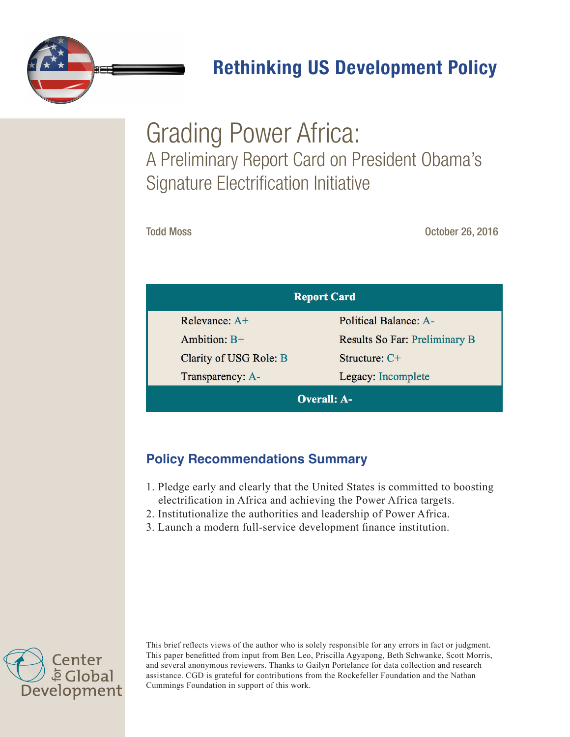

# Rethinking US Development Policy

# Grading Power Africa: A Preliminary Report Card on President Obama's Signature Electrification Initiative

Todd Moss **October 26, 2016** 

| <b>Report Card</b>     |                                      |  |  |  |  |
|------------------------|--------------------------------------|--|--|--|--|
| Relevance: $A+$        | <b>Political Balance: A-</b>         |  |  |  |  |
| Ambition: $B+$         | <b>Results So Far: Preliminary B</b> |  |  |  |  |
| Clarity of USG Role: B | Structure: $C+$                      |  |  |  |  |
| Transparency: A-       | Legacy: Incomplete                   |  |  |  |  |
| <b>Overall: A-</b>     |                                      |  |  |  |  |

## **Policy Recommendations Summary**

- 1. Pledge early and clearly that the United States is committed to boosting electrification in Africa and achieving the Power Africa targets.
- 2. Institutionalize the authorities and leadership of Power Africa.
- 3. Launch a modern full-service development finance institution.



This brief reflects views of the author who is solely responsible for any errors in fact or judgment. This paper benefitted from input from Ben Leo, Priscilla Agyapong, Beth Schwanke, Scott Morris, and several anonymous reviewers. Thanks to Gailyn Portelance for data collection and research assistance. CGD is grateful for contributions from the Rockefeller Foundation and the Nathan Cummings Foundation in support of this work.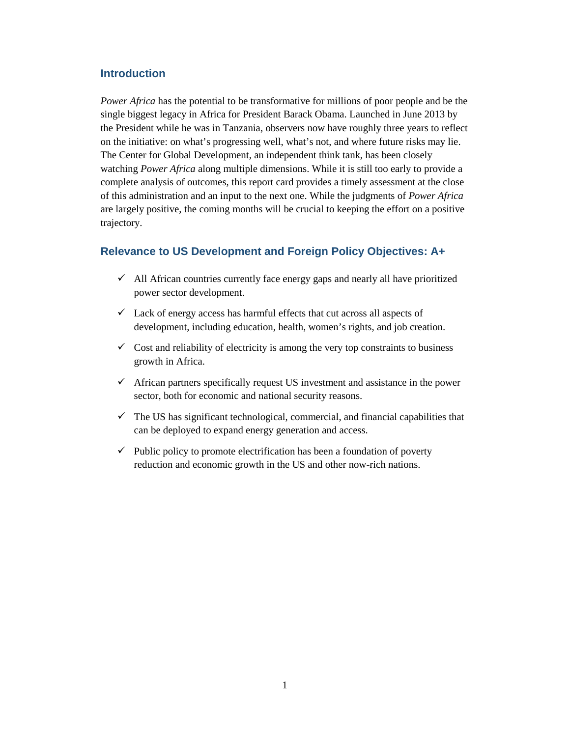#### **Introduction**

*Power Africa* has the potential to be transformative for millions of poor people and be the single biggest legacy in Africa for President Barack Obama. Launched in June 2013 by the President while he was in Tanzania, observers now have roughly three years to reflect on the initiative: on what's progressing well, what's not, and where future risks may lie. The Center for Global Development, an independent think tank, has been closely watching *Power Africa* along multiple dimensions. While it is still too early to provide a complete analysis of outcomes, this report card provides a timely assessment at the close of this administration and an input to the next one. While the judgments of *Power Africa* are largely positive, the coming months will be crucial to keeping the effort on a positive trajectory.

#### **Relevance to US Development and Foreign Policy Objectives: A+**

- $\checkmark$  All African countries currently face energy gaps and nearly all have prioritized power sector development.
- $\checkmark$  Lack of energy access has harmful effects that cut across all aspects of development, including education, health, women's rights, and job creation.
- $\checkmark$  Cost and reliability of electricity is among the very top constraints to business growth in Africa.
- $\checkmark$  African partners specifically request US investment and assistance in the power sector, both for economic and national security reasons.
- $\checkmark$  The US has significant technological, commercial, and financial capabilities that can be deployed to expand energy generation and access.
- $\checkmark$  Public policy to promote electrification has been a foundation of poverty reduction and economic growth in the US and other now-rich nations.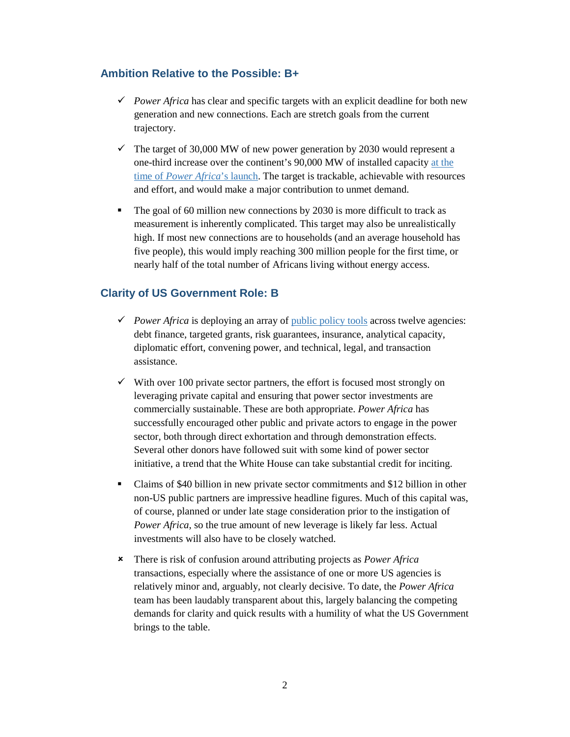#### **Ambition Relative to the Possible: B+**

- Power Africa has clear and specific targets with an explicit deadline for both new generation and new connections. Each are stretch goals from the current trajectory.
- $\checkmark$  The target of 30,000 MW of new power generation by 2030 would represent a one-third increase over the continent's 90,000 MW of installed capacity [at the](https://www.iea.org/publications/freepublications/publication/WEO2014_AfricaEnergyOutlook.pdf)  time of *[Power Africa](https://www.iea.org/publications/freepublications/publication/WEO2014_AfricaEnergyOutlook.pdf)*'s launch. The target is trackable, achievable with resources and effort, and would make a major contribution to unmet demand.
- The goal of 60 million new connections by 2030 is more difficult to track as measurement is inherently complicated. This target may also be unrealistically high. If most new connections are to households (and an average household has five people), this would imply reaching 300 million people for the first time, or nearly half of the total number of Africans living without energy access.

#### **Clarity of US Government Role: B**

- *Power Africa* is deploying an array of [public policy tools](https://www.usaid.gov/sites/default/files/documents/1860/Power-Africa-Toolbox-June-2016.pdf) across twelve agencies: debt finance, targeted grants, risk guarantees, insurance, analytical capacity, diplomatic effort, convening power, and technical, legal, and transaction assistance.
- $\checkmark$  With over 100 private sector partners, the effort is focused most strongly on leveraging private capital and ensuring that power sector investments are commercially sustainable. These are both appropriate. *Power Africa* has successfully encouraged other public and private actors to engage in the power sector, both through direct exhortation and through demonstration effects. Several other donors have followed suit with some kind of power sector initiative, a trend that the White House can take substantial credit for inciting.
- Claims of \$40 billion in new private sector commitments and \$12 billion in other non-US public partners are impressive headline figures. Much of this capital was, of course, planned or under late stage consideration prior to the instigation of *Power Africa*, so the true amount of new leverage is likely far less. Actual investments will also have to be closely watched.
- There is risk of confusion around attributing projects as *Power Africa* transactions, especially where the assistance of one or more US agencies is relatively minor and, arguably, not clearly decisive. To date, the *Power Africa* team has been laudably transparent about this, largely balancing the competing demands for clarity and quick results with a humility of what the US Government brings to the table.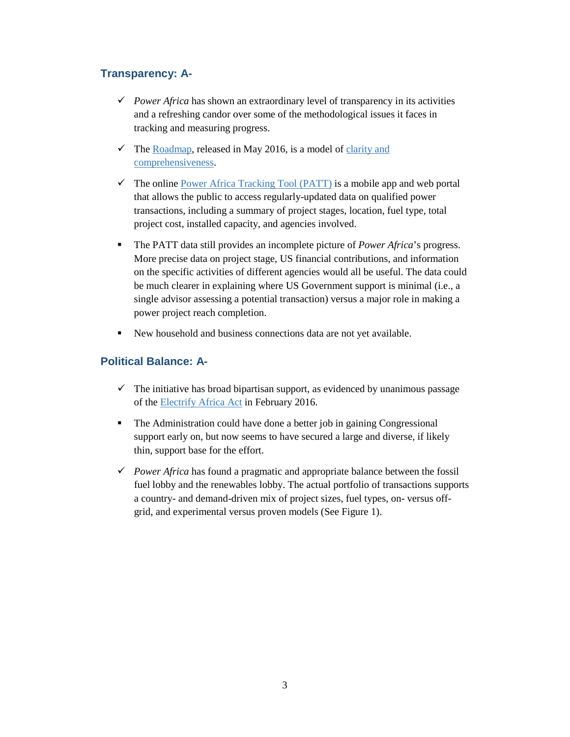## **Transparency: A-**

- *Power Africa* has shown an extraordinary level of transparency in its activities and a refreshing candor over some of the methodological issues it faces in tracking and measuring progress.
- $\checkmark$  The [Roadmap,](https://www.usaid.gov/powerafrica/roadmap) released in May 2016, is a model of clarity and [comprehensiveness.](http://www.cgdev.org/blog/congress-passes-electrify-africa-act-finally)
- $\checkmark$  The online [Power Africa Tracking Tool \(PATT\)](https://www.usaid.gov/power-africa/newsletter/jan2016/powerafrica-tracking-tool) is a mobile app and web portal that allows the public to access regularly-updated data on qualified power transactions, including a summary of project stages, location, fuel type, total project cost, installed capacity, and agencies involved.
- The PATT data still provides an incomplete picture of *Power Africa*'s progress. More precise data on project stage, US financial contributions, and information on the specific activities of different agencies would all be useful. The data could be much clearer in explaining where US Government support is minimal (i.e., a single advisor assessing a potential transaction) versus a major role in making a power project reach completion.
- New household and business connections data are not yet available.

### **Political Balance: A-**

- $\checkmark$  The initiative has broad bipartisan support, as evidenced by unanimous passage of the [Electrify Africa Act](https://www.govtrack.us/congress/bills/114/s2152) in February 2016.
- The Administration could have done a better job in gaining Congressional support early on, but now seems to have secured a large and diverse, if likely thin, support base for the effort.
- *Power Africa* has found a pragmatic and appropriate balance between the fossil fuel lobby and the renewables lobby. The actual portfolio of transactions supports a country- and demand-driven mix of project sizes, fuel types, on- versus offgrid, and experimental versus proven models (See Figure 1).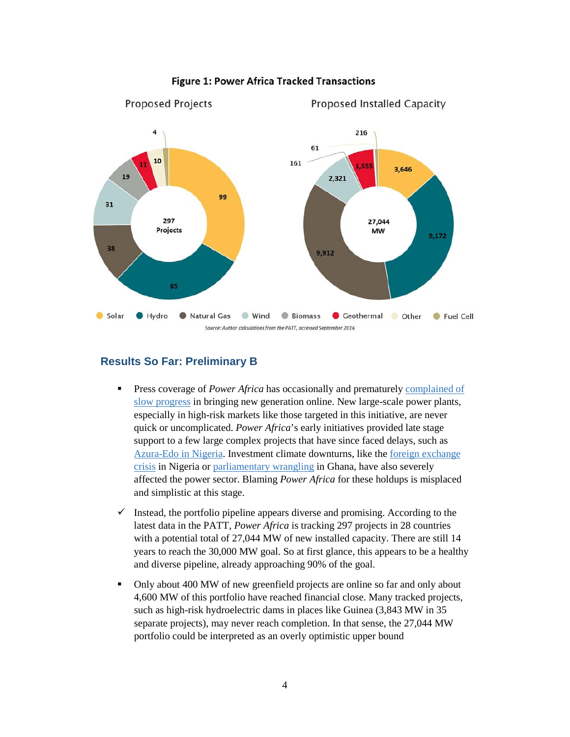

#### **Figure 1: Power Africa Tracked Transactions**

#### **Results So Far: Preliminary B**

- **Press coverage of** *Power Africa* has occasionally and prematurely complained of [slow progress](https://www.ft.com/content/96dac28a-49c9-11e6-8d68-72e9211e86ab) in bringing new generation online. New large-scale power plants, especially in high-risk markets like those targeted in this initiative, are never quick or uncomplicated. *Power Africa*'s early initiatives provided late stage support to a few large complex projects that have since faced delays, such as [Azura-Edo in Nigeria.](http://www.institutionalinvestor.com/article/3557533/banking-and-capital-markets-emerging-markets/is-new-nigerian-power-plant-a-template-for-lighting-up-africa.html#/.V-QqPZgrJN0) Investment climate downturns, like the [foreign exchange](http://www.economist.com/news/middle-east-and-africa/21689584-cheap-oil-causing-currency-crisis-nigeria-banning-imports-no)  [crisis](http://www.economist.com/news/middle-east-and-africa/21689584-cheap-oil-causing-currency-crisis-nigeria-banning-imports-no) in Nigeria or [parliamentary wrangling](http://www.myjoyonline.com/opinion/2013/october-3rd/8-months-of-court-wrangling-and-the-npp-in-parliament.php) in Ghana, have also severely affected the power sector. Blaming *Power Africa* for these holdups is misplaced and simplistic at this stage.
- $\checkmark$  Instead, the portfolio pipeline appears diverse and promising. According to the latest data in the PATT, *Power Africa* is tracking 297 projects in 28 countries with a potential total of 27,044 MW of new installed capacity. There are still 14 years to reach the 30,000 MW goal. So at first glance, this appears to be a healthy and diverse pipeline, already approaching 90% of the goal.
- Only about 400 MW of new greenfield projects are online so far and only about 4,600 MW of this portfolio have reached financial close. Many tracked projects, such as high-risk hydroelectric dams in places like Guinea (3,843 MW in 35 separate projects), may never reach completion. In that sense, the 27,044 MW portfolio could be interpreted as an overly optimistic upper bound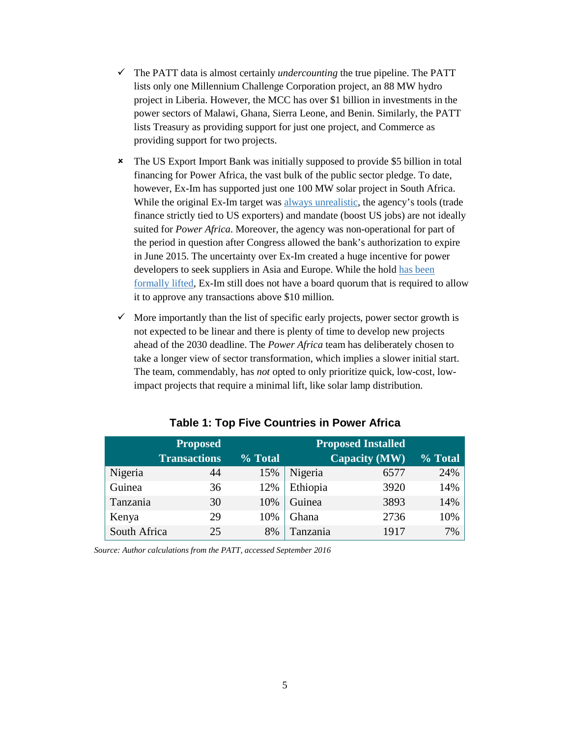- $\checkmark$  The PATT data is almost certainly *undercounting* the true pipeline. The PATT lists only one Millennium Challenge Corporation project, an 88 MW hydro project in Liberia. However, the MCC has over \$1 billion in investments in the power sectors of Malawi, Ghana, Sierra Leone, and Benin. Similarly, the PATT lists Treasury as providing support for just one project, and Commerce as providing support for two projects.
- The US Export Import Bank was initially supposed to provide \$5 billion in total financing for Power Africa, the vast bulk of the public sector pledge. To date, however, Ex-Im has supported just one 100 MW solar project in South Africa. While the original Ex-Im target was [always unrealistic,](http://www.cgdev.org/blog/why-ex-im-can%E2%80%99t-be-financing-cornerstone-power-africa) the agency's tools (trade finance strictly tied to US exporters) and mandate (boost US jobs) are not ideally suited for *Power Africa*. Moreover, the agency was non-operational for part of the period in question after Congress allowed the bank's authorization to expire in June 2015. The uncertainty over Ex-Im created a huge incentive for power developers to seek suppliers in Asia and Europe. While the hol[d has been](https://www.bloomberg.com/quicktake/u-s-export-import-bank) [formally](https://www.bloomberg.com/quicktake/u-s-export-import-bank) lifted, Ex-Im still does not have a board quorum that is required to allow it to approve any transactions above \$10 million.
- $\checkmark$  More importantly than the list of specific early projects, power sector growth is not expected to be linear and there is plenty of time to develop new projects ahead of the 2030 deadline. The *Power Africa* team has deliberately chosen to take a longer view of sector transformation, which implies a slower initial start. The team, commendably, has *not* opted to only prioritize quick, low-cost, lowimpact projects that require a minimal lift, like solar lamp distribution.

|              | <b>Proposed</b>     | <b>Proposed Installed</b> |          |                      |         |
|--------------|---------------------|---------------------------|----------|----------------------|---------|
|              | <b>Transactions</b> | % Total                   |          | <b>Capacity (MW)</b> | % Total |
| Nigeria      | 44                  | 15%                       | Nigeria  | 6577                 | 24%     |
| Guinea       | 36                  | 12%                       | Ethiopia | 3920                 | 14%     |
| Tanzania     | 30                  | 10%                       | Guinea   | 3893                 | 14%     |
| Kenya        | 29                  | 10%                       | Ghana    | 2736                 | 10%     |
| South Africa | 25                  | 8%                        | Tanzania | 1917                 | 7%      |

#### **Table 1: Top Five Countries in Power Africa**

*Source: Author calculations from the PATT, accessed September 2016*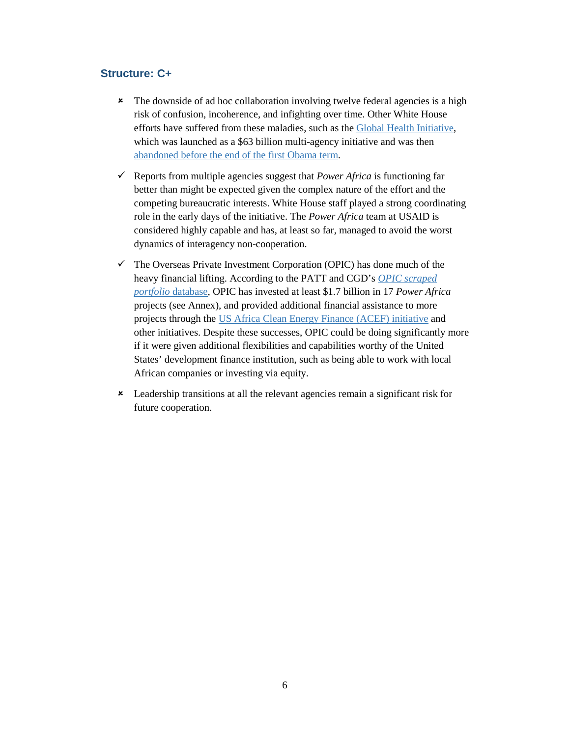#### **Structure: C+**

- **\*** The downside of ad hoc collaboration involving twelve federal agencies is a high risk of confusion, incoherence, and infighting over time. Other White House efforts have suffered from these maladies, such as the [Global Health Initiative,](https://www.whitehouse.gov/sites/default/files/Global_Health_Fact_Sheet.pdf) which was launched as a \$63 billion multi-agency initiative and was then [abandoned before the end of the first Obama term.](http://www.cgdev.org/blog/failure-launch-post-mortem-ghi-10)
- Reports from multiple agencies suggest that *Power Africa* is functioning far better than might be expected given the complex nature of the effort and the competing bureaucratic interests. White House staff played a strong coordinating role in the early days of the initiative. The *Power Africa* team at USAID is considered highly capable and has, at least so far, managed to avoid the worst dynamics of interagency non-cooperation.
- $\checkmark$  The Overseas Private Investment Corporation (OPIC) has done much of the heavy financial lifting. According to the PATT and CGD's *OPIC [scraped](http://www.cgdev.org/blog/there-wasnt-decent-opic-database-so-we-spent-months-making-one)  portfolio* [database,](http://www.cgdev.org/blog/there-wasnt-decent-opic-database-so-we-spent-months-making-one) OPIC has invested at least \$1.7 billion in 17 *Power Africa*  projects (see Annex), and provided additional financial assistance to more projects through the US [Africa Clean Energy Finance \(ACEF\) initiative](https://www.opic.gov/sites/default/files/files/ACEF%20One-Pager%2005%2021%202013%20final.pdf) and other initiatives. Despite these successes, OPIC could be doing significantly more if it were given additional flexibilities and capabilities worthy of the United States' development finance institution, such as being able to work with local African companies or investing via equity.
- Leadership transitions at all the relevant agencies remain a significant risk for future cooperation.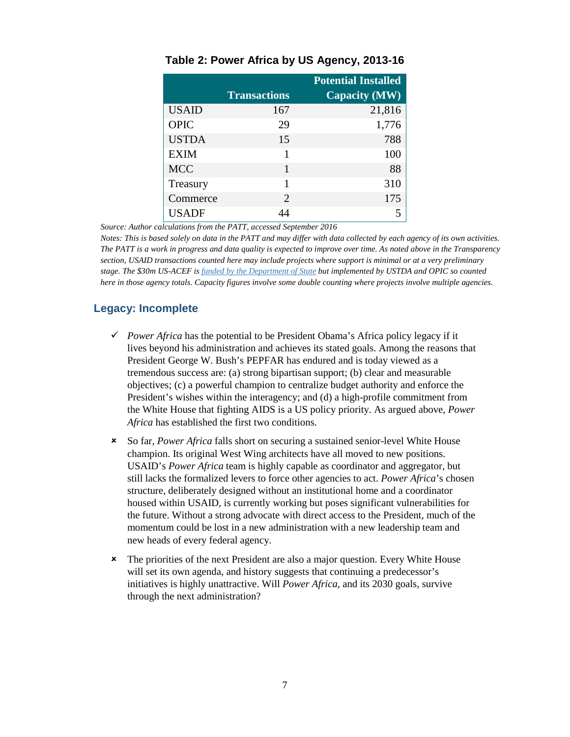|              |                             | <b>Potential Installed</b> |
|--------------|-----------------------------|----------------------------|
|              | <b>Transactions</b>         | <b>Capacity (MW)</b>       |
| <b>USAID</b> | 167                         | 21,816                     |
| <b>OPIC</b>  | 29                          | 1,776                      |
| <b>USTDA</b> | 15                          | 788                        |
| <b>EXIM</b>  |                             | 100                        |
| <b>MCC</b>   |                             | 88                         |
| Treasury     | 1                           | 310                        |
| Commerce     | $\mathcal{D}_{\mathcal{L}}$ | 175                        |
| <b>USADF</b> |                             |                            |

#### **Table 2: Power Africa by US Agency, 2013-16**

*Source: Author calculations from the PATT, accessed September 2016*

*Notes: This is based solely on data in the PATT and may differ with data collected by each agency of its own activities. The PATT is a work in progress and data quality is expected to improve over time. As noted above in the Transparency section, USAID transactions counted here may include projects where support is minimal or at a very preliminary stage. The \$30m US-ACEF i[s funded by the Department of State](http://www.state.gov/r/pa/prs/ps/2014/230393.htm) but implemented by USTDA and OPIC so counted here in those agency totals. Capacity figures involve some double counting where projects involve multiple agencies.* 

#### **Legacy: Incomplete**

- Power Africa has the potential to be President Obama's Africa policy legacy if it lives beyond his administration and achieves its stated goals. Among the reasons that President George W. Bush's PEPFAR has endured and is today viewed as a tremendous success are: (a) strong bipartisan support; (b) clear and measurable objectives; (c) a powerful champion to centralize budget authority and enforce the President's wishes within the interagency; and (d) a high-profile commitment from the White House that fighting AIDS is a US policy priority. As argued above, *Power Africa* has established the first two conditions.
- So far, *Power Africa* falls short on securing a sustained senior-level White House champion. Its original West Wing architects have all moved to new positions. USAID's *Power Africa* team is highly capable as coordinator and aggregator, but still lacks the formalized levers to force other agencies to act. *Power Africa*'s chosen structure, deliberately designed without an institutional home and a coordinator housed within USAID, is currently working but poses significant vulnerabilities for the future. Without a strong advocate with direct access to the President, much of the momentum could be lost in a new administration with a new leadership team and new heads of every federal agency.
- The priorities of the next President are also a major question. Every White House will set its own agenda, and history suggests that continuing a predecessor's initiatives is highly unattractive. Will *Power Africa*, and its 2030 goals, survive through the next administration?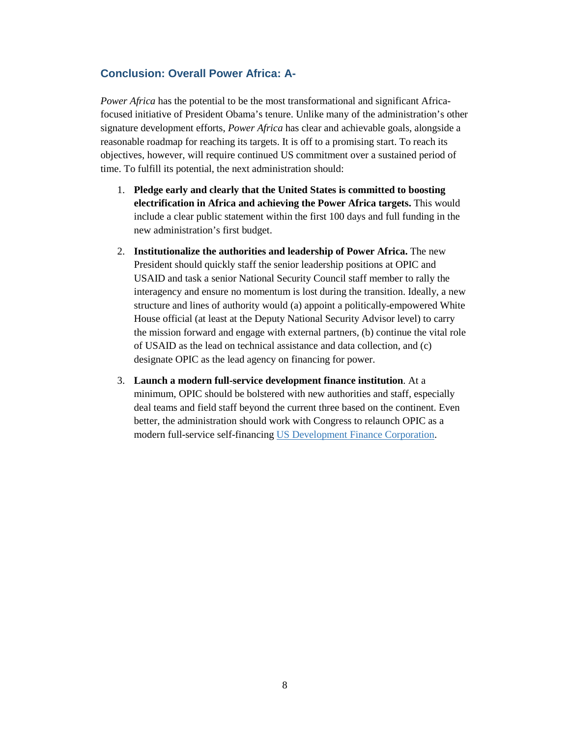#### **Conclusion: Overall Power Africa: A-**

*Power Africa* has the potential to be the most transformational and significant Africafocused initiative of President Obama's tenure. Unlike many of the administration's other signature development efforts, *Power Africa* has clear and achievable goals, alongside a reasonable roadmap for reaching its targets. It is off to a promising start. To reach its objectives, however, will require continued US commitment over a sustained period of time. To fulfill its potential, the next administration should:

- 1. **Pledge early and clearly that the United States is committed to boosting electrification in Africa and achieving the Power Africa targets.** This would include a clear public statement within the first 100 days and full funding in the new administration's first budget.
- 2. **Institutionalize the authorities and leadership of Power Africa.** The new President should quickly staff the senior leadership positions at OPIC and USAID and task a senior National Security Council staff member to rally the interagency and ensure no momentum is lost during the transition. Ideally, a new structure and lines of authority would (a) appoint a politically-empowered White House official (at least at the Deputy National Security Advisor level) to carry the mission forward and engage with external partners, (b) continue the vital role of USAID as the lead on technical assistance and data collection, and (c) designate OPIC as the lead agency on financing for power.
- 3. **Launch a modern full-service development finance institution**. At a minimum, OPIC should be bolstered with new authorities and staff, especially deal teams and field staff beyond the current three based on the continent. Even better, the administration should work with Congress to relaunch OPIC as a modern full-service self-financing US [Development Finance Corporation.](http://www.cgdev.org/publication/bringing-us-development-finance-21st-century-proposal-self-sustaining-full-service-usdfc)